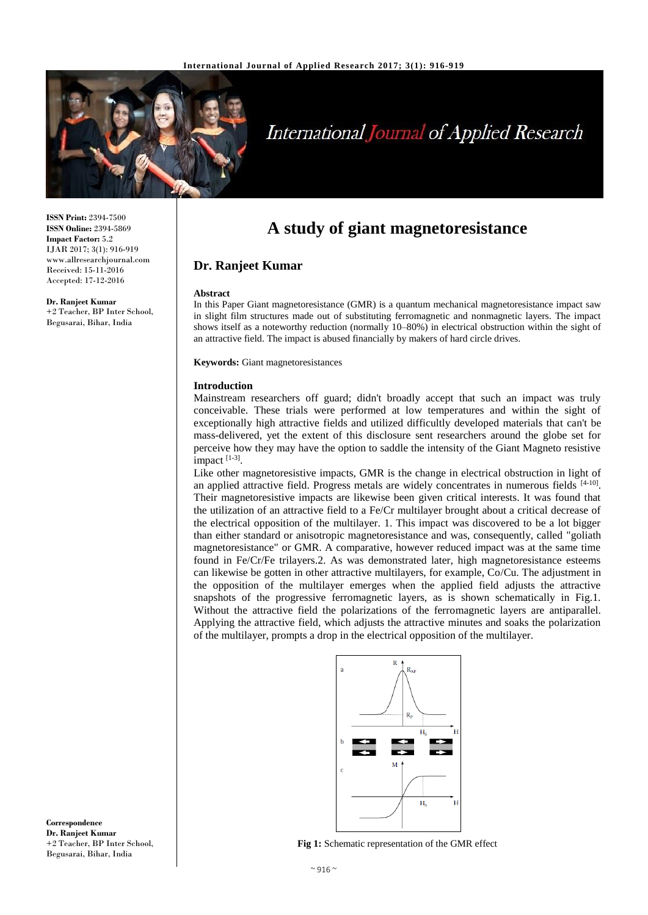

# **International Journal of Applied Research**

**ISSN Print:** 2394-7500 **ISSN Online:** 2394-5869 **Impact Factor:** 5.2 IJAR 2017; 3(1): 916-919 www.allresearchjournal.com Received: 15-11-2016 Accepted: 17-12-2016

**Dr. Ranjeet Kumar** +2 Teacher, BP Inter School, Begusarai, Bihar, India

# **A study of giant magnetoresistance**

# **Dr. Ranjeet Kumar**

#### **Abstract**

In this Paper Giant magnetoresistance (GMR) is a quantum mechanical magnetoresistance impact saw in slight film structures made out of substituting ferromagnetic and nonmagnetic layers. The impact shows itself as a noteworthy reduction (normally 10–80%) in electrical obstruction within the sight of an attractive field. The impact is abused financially by makers of hard circle drives.

**Keywords:** Giant magnetoresistances

#### **Introduction**

Mainstream researchers off guard; didn't broadly accept that such an impact was truly conceivable. These trials were performed at low temperatures and within the sight of exceptionally high attractive fields and utilized difficultly developed materials that can't be mass-delivered, yet the extent of this disclosure sent researchers around the globe set for perceive how they may have the option to saddle the intensity of the Giant Magneto resistive impact<sup>[1-3]</sup>.

Like other magnetoresistive impacts, GMR is the change in electrical obstruction in light of an applied attractive field. Progress metals are widely concentrates in numerous fields [4-10]. Their magnetoresistive impacts are likewise been given critical interests. It was found that the utilization of an attractive field to a Fe/Cr multilayer brought about a critical decrease of the electrical opposition of the multilayer. 1. This impact was discovered to be a lot bigger than either standard or anisotropic magnetoresistance and was, consequently, called "goliath magnetoresistance" or GMR. A comparative, however reduced impact was at the same time found in Fe/Cr/Fe trilayers.2. As was demonstrated later, high magnetoresistance esteems can likewise be gotten in other attractive multilayers, for example, Co/Cu. The adjustment in the opposition of the multilayer emerges when the applied field adjusts the attractive snapshots of the progressive ferromagnetic layers, as is shown schematically in Fig.1. Without the attractive field the polarizations of the ferromagnetic layers are antiparallel. Applying the attractive field, which adjusts the attractive minutes and soaks the polarization of the multilayer, prompts a drop in the electrical opposition of the multilayer.



**Fig 1:** Schematic representation of the GMR effect

**Correspondence Dr. Ranjeet Kumar** +2 Teacher, BP Inter School, Begusarai, Bihar, India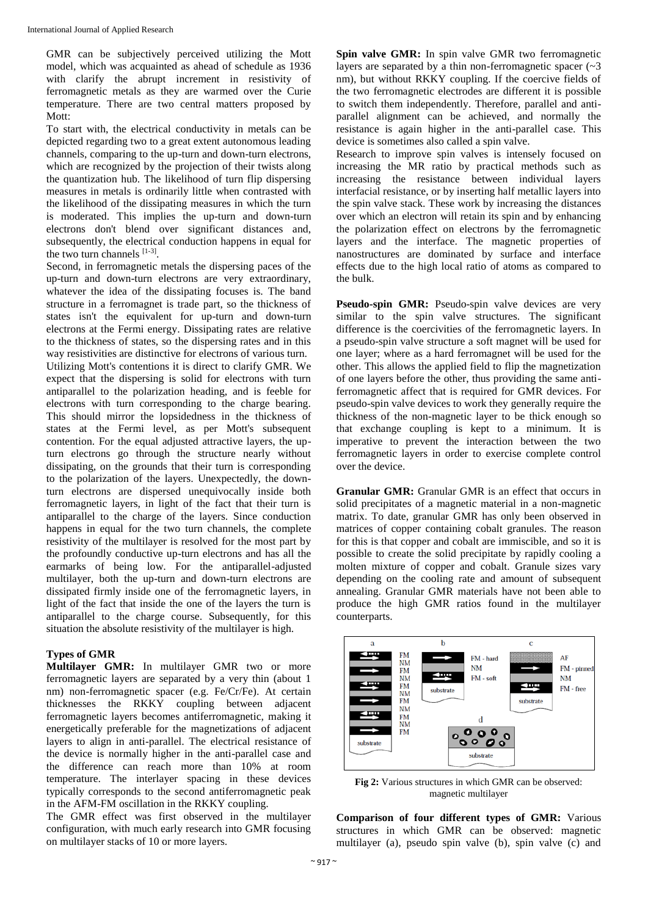GMR can be subjectively perceived utilizing the Mott model, which was acquainted as ahead of schedule as 1936 with clarify the abrupt increment in resistivity of ferromagnetic metals as they are warmed over the Curie temperature. There are two central matters proposed by Mott:

To start with, the electrical conductivity in metals can be depicted regarding two to a great extent autonomous leading channels, comparing to the up-turn and down-turn electrons, which are recognized by the projection of their twists along the quantization hub. The likelihood of turn flip dispersing measures in metals is ordinarily little when contrasted with the likelihood of the dissipating measures in which the turn is moderated. This implies the up-turn and down-turn electrons don't blend over significant distances and, subsequently, the electrical conduction happens in equal for the two turn channels [1-3] .

Second, in ferromagnetic metals the dispersing paces of the up-turn and down-turn electrons are very extraordinary, whatever the idea of the dissipating focuses is. The band structure in a ferromagnet is trade part, so the thickness of states isn't the equivalent for up-turn and down-turn electrons at the Fermi energy. Dissipating rates are relative to the thickness of states, so the dispersing rates and in this way resistivities are distinctive for electrons of various turn. Utilizing Mott's contentions it is direct to clarify GMR. We expect that the dispersing is solid for electrons with turn antiparallel to the polarization heading, and is feeble for electrons with turn corresponding to the charge bearing. This should mirror the lopsidedness in the thickness of states at the Fermi level, as per Mott's subsequent contention. For the equal adjusted attractive layers, the upturn electrons go through the structure nearly without dissipating, on the grounds that their turn is corresponding to the polarization of the layers. Unexpectedly, the downturn electrons are dispersed unequivocally inside both ferromagnetic layers, in light of the fact that their turn is antiparallel to the charge of the layers. Since conduction happens in equal for the two turn channels, the complete resistivity of the multilayer is resolved for the most part by the profoundly conductive up-turn electrons and has all the earmarks of being low. For the antiparallel-adjusted multilayer, both the up-turn and down-turn electrons are dissipated firmly inside one of the ferromagnetic layers, in light of the fact that inside the one of the layers the turn is antiparallel to the charge course. Subsequently, for this situation the absolute resistivity of the multilayer is high.

# **Types of GMR**

**Multilayer GMR:** In multilayer GMR two or more ferromagnetic layers are separated by a very thin (about 1 nm) non-ferromagnetic spacer (e.g. Fe/Cr/Fe). At certain thicknesses the RKKY coupling between adjacent ferromagnetic layers becomes antiferromagnetic, making it energetically preferable for the magnetizations of adjacent layers to align in anti-parallel. The electrical resistance of the device is normally higher in the anti-parallel case and the difference can reach more than 10% at room temperature. The interlayer spacing in these devices typically corresponds to the second antiferromagnetic peak in the AFM-FM oscillation in the RKKY coupling.

The GMR effect was first observed in the multilayer configuration, with much early research into GMR focusing on multilayer stacks of 10 or more layers.

**Spin valve GMR:** In spin valve GMR two ferromagnetic layers are separated by a thin non-ferromagnetic spacer  $(\sim 3)$ nm), but without RKKY coupling. If the coercive fields of the two ferromagnetic electrodes are different it is possible to switch them independently. Therefore, parallel and antiparallel alignment can be achieved, and normally the resistance is again higher in the anti-parallel case. This device is sometimes also called a spin valve.

Research to improve spin valves is intensely focused on increasing the MR ratio by practical methods such as increasing the resistance between individual layers interfacial resistance, or by inserting half metallic layers into the spin valve stack. These work by increasing the distances over which an electron will retain its spin and by enhancing the polarization effect on electrons by the ferromagnetic layers and the interface. The magnetic properties of nanostructures are dominated by surface and interface effects due to the high local ratio of atoms as compared to the bulk.

**Pseudo-spin GMR:** Pseudo-spin valve devices are very similar to the spin valve structures. The significant difference is the coercivities of the ferromagnetic layers. In a pseudo-spin valve structure a soft magnet will be used for one layer; where as a hard ferromagnet will be used for the other. This allows the applied field to flip the magnetization of one layers before the other, thus providing the same antiferromagnetic affect that is required for GMR devices. For pseudo-spin valve devices to work they generally require the thickness of the non-magnetic layer to be thick enough so that exchange coupling is kept to a minimum. It is imperative to prevent the interaction between the two ferromagnetic layers in order to exercise complete control over the device.

**Granular GMR:** Granular GMR is an effect that occurs in solid precipitates of a magnetic material in a non-magnetic matrix. To date, granular GMR has only been observed in matrices of copper containing cobalt granules. The reason for this is that copper and cobalt are immiscible, and so it is possible to create the solid precipitate by rapidly cooling a molten mixture of copper and cobalt. Granule sizes vary depending on the cooling rate and amount of subsequent annealing. Granular GMR materials have not been able to produce the high GMR ratios found in the multilayer counterparts.



**Fig 2:** Various structures in which GMR can be observed: magnetic multilayer

**Comparison of four different types of GMR:** Various structures in which GMR can be observed: magnetic multilayer (a), pseudo spin valve (b), spin valve (c) and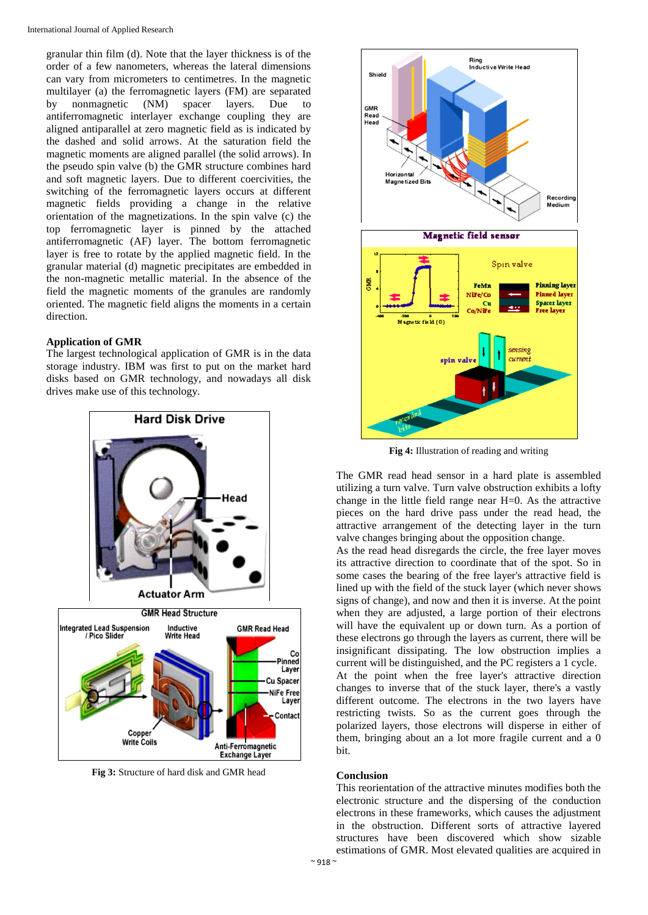granular thin film (d). Note that the layer thickness is of the order of a few nanometers, whereas the lateral dimensions can vary from micrometers to centimetres. In the magnetic multilayer (a) the ferromagnetic layers (FM) are separated by nonmagnetic (NM) spacer layers. Due to antiferromagnetic interlayer exchange coupling they are aligned antiparallel at zero magnetic field as is indicated by the dashed and solid arrows. At the saturation field the magnetic moments are aligned parallel (the solid arrows). In the pseudo spin valve (b) the GMR structure combines hard and soft magnetic layers. Due to different coercivities, the switching of the ferromagnetic layers occurs at different magnetic fields providing a change in the relative orientation of the magnetizations. In the spin valve (c) the top ferromagnetic layer is pinned by the attached antiferromagnetic (AF) layer. The bottom ferromagnetic layer is free to rotate by the applied magnetic field. In the granular material (d) magnetic precipitates are embedded in the non-magnetic metallic material. In the absence of the field the magnetic moments of the granules are randomly oriented. The magnetic field aligns the moments in a certain direction.

### **Application of GMR**

The largest technological application of GMR is in the data storage industry. IBM was first to put on the market hard disks based on GMR technology, and nowadays all disk drives make use of this technology.



**Fig 3:** Structure of hard disk and GMR head



**Fig 4:** Illustration of reading and writing

The GMR read head sensor in a hard plate is assembled utilizing a turn valve. Turn valve obstruction exhibits a lofty change in the little field range near H=0. As the attractive pieces on the hard drive pass under the read head, the attractive arrangement of the detecting layer in the turn valve changes bringing about the opposition change.

As the read head disregards the circle, the free layer moves its attractive direction to coordinate that of the spot. So in some cases the bearing of the free layer's attractive field is lined up with the field of the stuck layer (which never shows signs of change), and now and then it is inverse. At the point when they are adjusted, a large portion of their electrons will have the equivalent up or down turn. As a portion of these electrons go through the layers as current, there will be insignificant dissipating. The low obstruction implies a current will be distinguished, and the PC registers a 1 cycle. At the point when the free layer's attractive direction changes to inverse that of the stuck layer, there's a vastly different outcome. The electrons in the two layers have restricting twists. So as the current goes through the polarized layers, those electrons will disperse in either of them, bringing about an a lot more fragile current and a 0 bit.

#### **Conclusion**

This reorientation of the attractive minutes modifies both the electronic structure and the dispersing of the conduction electrons in these frameworks, which causes the adjustment in the obstruction. Different sorts of attractive layered structures have been discovered which show sizable estimations of GMR. Most elevated qualities are acquired in